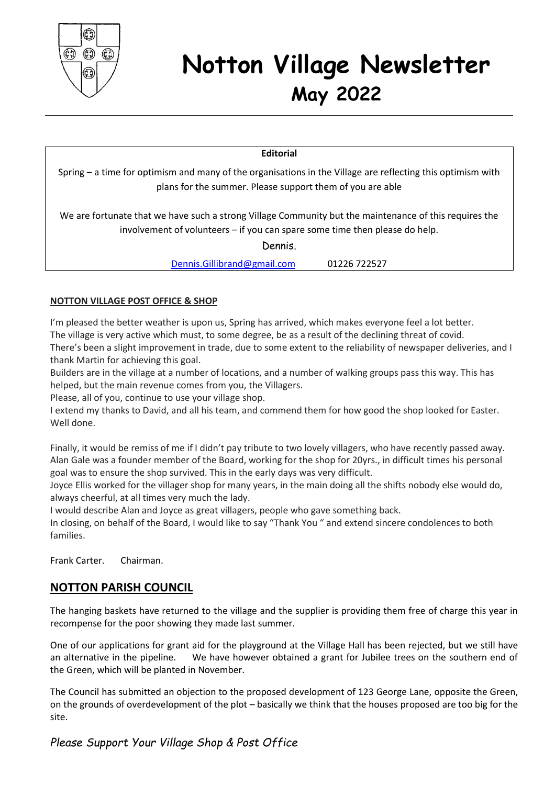

# **Notton Village Newsletter May 2022**

#### **Editorial**

Spring – a time for optimism and many of the organisations in the Village are reflecting this optimism with plans for the summer. Please support them of you are able

We are fortunate that we have such a strong Village Community but the maintenance of this requires the involvement of volunteers – if you can spare some time then please do help.

Dennis.

[Dennis.Gillibrand@gmail.com](mailto:Dennis.Gillibrand@gmail.com) 01226 722527

#### **NOTTON VILLAGE POST OFFICE & SHOP**

I'm pleased the better weather is upon us, Spring has arrived, which makes everyone feel a lot better. The village is very active which must, to some degree, be as a result of the declining threat of covid. There's been a slight improvement in trade, due to some extent to the reliability of newspaper deliveries, and I thank Martin for achieving this goal.

Builders are in the village at a number of locations, and a number of walking groups pass this way. This has helped, but the main revenue comes from you, the Villagers.

Please, all of you, continue to use your village shop.

I extend my thanks to David, and all his team, and commend them for how good the shop looked for Easter. Well done.

Finally, it would be remiss of me if I didn't pay tribute to two lovely villagers, who have recently passed away. Alan Gale was a founder member of the Board, working for the shop for 20yrs., in difficult times his personal goal was to ensure the shop survived. This in the early days was very difficult.

Joyce Ellis worked for the villager shop for many years, in the main doing all the shifts nobody else would do, always cheerful, at all times very much the lady.

I would describe Alan and Joyce as great villagers, people who gave something back.

In closing, on behalf of the Board, I would like to say "Thank You " and extend sincere condolences to both families.

Frank Carter. Chairman.

# **NOTTON PARISH COUNCIL**

The hanging baskets have returned to the village and the supplier is providing them free of charge this year in recompense for the poor showing they made last summer.

One of our applications for grant aid for the playground at the Village Hall has been rejected, but we still have an alternative in the pipeline. We have however obtained a grant for Jubilee trees on the southern end of the Green, which will be planted in November.

The Council has submitted an objection to the proposed development of 123 George Lane, opposite the Green, on the grounds of overdevelopment of the plot – basically we think that the houses proposed are too big for the site.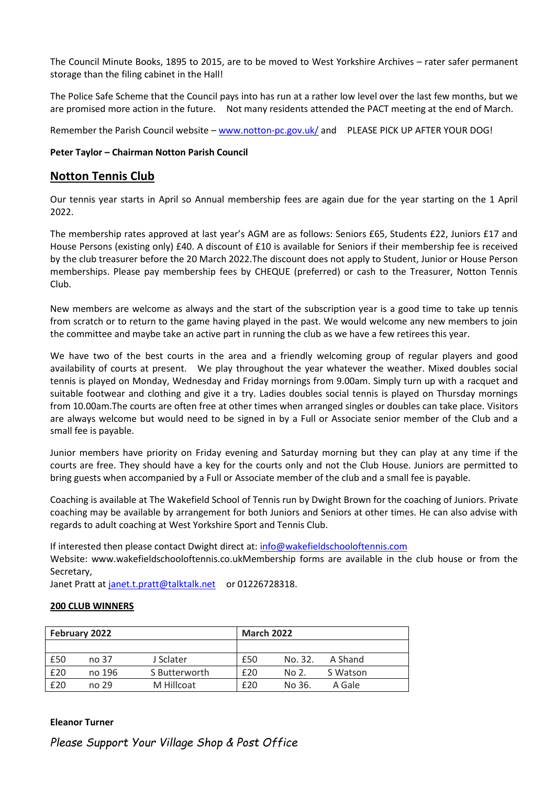The Council Minute Books, 1895 to 2015, are to be moved to West Yorkshire Archives – rater safer permanent storage than the filing cabinet in the Hall!

The Police Safe Scheme that the Council pays into has run at a rather low level over the last few months, but we are promised more action in the future. Not many residents attended the PACT meeting at the end of March.

Remember the Parish Council website – [www.notton-pc.gov.uk/](http://www.notton-pc.gov.uk/) and PLEASE PICK UP AFTER YOUR DOG!

#### **Peter Taylor – Chairman Notton Parish Council**

#### **Notton Tennis Club**

Our tennis year starts in April so Annual membership fees are again due for the year starting on the 1 April 2022.

The membership rates approved at last year's AGM are as follows: Seniors £65, Students £22, Juniors £17 and House Persons (existing only) £40. A discount of £10 is available for Seniors if their membership fee is received by the club treasurer before the 20 March 2022.The discount does not apply to Student, Junior or House Person memberships. Please pay membership fees by CHEQUE (preferred) or cash to the Treasurer, Notton Tennis Club.

New members are welcome as always and the start of the subscription year is a good time to take up tennis from scratch or to return to the game having played in the past. We would welcome any new members to join the committee and maybe take an active part in running the club as we have a few retirees this year.

We have two of the best courts in the area and a friendly welcoming group of regular players and good availability of courts at present. We play throughout the year whatever the weather. Mixed doubles social tennis is played on Monday, Wednesday and Friday mornings from 9.00am. Simply turn up with a racquet and suitable footwear and clothing and give it a try. Ladies doubles social tennis is played on Thursday mornings from 10.00am.The courts are often free at other times when arranged singles or doubles can take place. Visitors are always welcome but would need to be signed in by a Full or Associate senior member of the Club and a small fee is payable.

Junior members have priority on Friday evening and Saturday morning but they can play at any time if the courts are free. They should have a key for the courts only and not the Club House. Juniors are permitted to bring guests when accompanied by a Full or Associate member of the club and a small fee is payable.

Coaching is available at The Wakefield School of Tennis run by Dwight Brown for the coaching of Juniors. Private coaching may be available by arrangement for both Juniors and Seniors at other times. He can also advise with regards to adult coaching at West Yorkshire Sport and Tennis Club.

If interested then please contact Dwight direct at[: info@wakefieldschooloftennis.com](mailto:info@wakefieldschooloftennis.com)

Website: www.wakefieldschooloftennis.co.ukMembership forms are available in the club house or from the Secretary,

Janet Pratt at [janet.t.pratt@talktalk.net](mailto:janet.t.pratt@talktalk.net) or 01226728318.

#### **200 CLUB WINNERS**

| February 2022 |                  |               | <b>March 2022</b> |         |          |
|---------------|------------------|---------------|-------------------|---------|----------|
|               |                  |               |                   |         |          |
| £50           | no 37            | J Sclater     | £50               | No. 32. | A Shand  |
| £20           | no 196           | S Butterworth | £20               | No 2.   | S Watson |
| £20           | no <sub>29</sub> | M Hillcoat    | £20               | No 36.  | A Gale   |

#### **Eleanor Turner**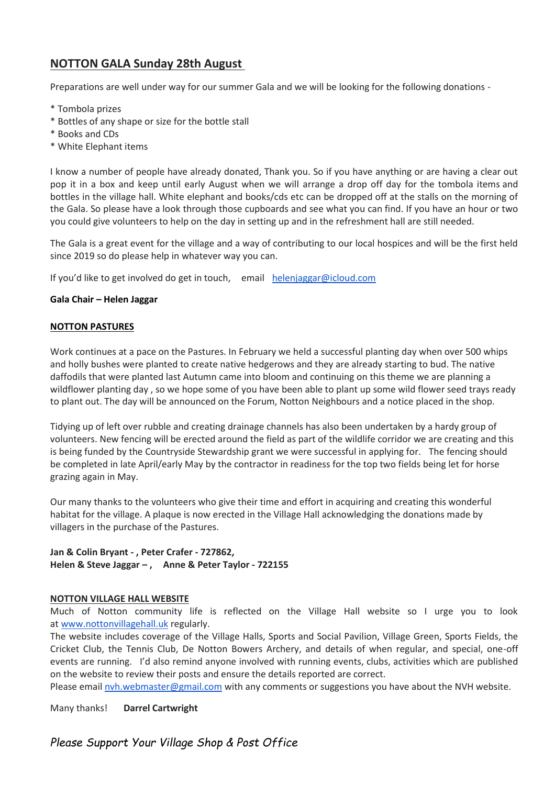# **NOTTON GALA Sunday 28th August**

Preparations are well under way for our summer Gala and we will be looking for the following donations -

- \* Tombola prizes
- \* Bottles of any shape or size for the bottle stall
- \* Books and CDs
- \* White Elephant items

I know a number of people have already donated, Thank you. So if you have anything or are having a clear out pop it in a box and keep until early August when we will arrange a drop off day for the tombola items and bottles in the village hall. White elephant and books/cds etc can be dropped off at the stalls on the morning of the Gala. So please have a look through those cupboards and see what you can find. If you have an hour or two you could give volunteers to help on the day in setting up and in the refreshment hall are still needed.

The Gala is a great event for the village and a way of contributing to our local hospices and will be the first held since 2019 so do please help in whatever way you can.

If you'd like to get involved do get in touch, email [helenjaggar@icloud.com](mailto:helenjaggar@icloud.com)

#### **Gala Chair – Helen Jaggar**

#### **NOTTON PASTURES**

Work continues at a pace on the Pastures. In February we held a successful planting day when over 500 whips and holly bushes were planted to create native hedgerows and they are already starting to bud. The native daffodils that were planted last Autumn came into bloom and continuing on this theme we are planning a wildflower planting day , so we hope some of you have been able to plant up some wild flower seed trays ready to plant out. The day will be announced on the Forum, Notton Neighbours and a notice placed in the shop.

Tidying up of left over rubble and creating drainage channels has also been undertaken by a hardy group of volunteers. New fencing will be erected around the field as part of the wildlife corridor we are creating and this is being funded by the Countryside Stewardship grant we were successful in applying for. The fencing should be completed in late April/early May by the contractor in readiness for the top two fields being let for horse grazing again in May.

Our many thanks to the volunteers who give their time and effort in acquiring and creating this wonderful habitat for the village. A plaque is now erected in the Village Hall acknowledging the donations made by villagers in the purchase of the Pastures.

**Jan & Colin Bryant - , Peter Crafer - 727862, Helen & Steve Jaggar – , Anne & Peter Taylor - 722155**

#### **NOTTON VILLAGE HALL WEBSITE**

Much of Notton community life is reflected on the Village Hall website so I urge you to look at [www.nottonvillagehall.uk](http://www.nottonvillagehall.uk/) regularly.

The website includes coverage of the Village Halls, Sports and Social Pavilion, Village Green, Sports Fields, the Cricket Club, the Tennis Club, De Notton Bowers Archery, and details of when regular, and special, one-off events are running. I'd also remind anyone involved with running events, clubs, activities which are published on the website to review their posts and ensure the details reported are correct.

Please email [nvh.webmaster@gmail.com](mailto:nvh.webmaster@gmail.com) with any comments or suggestions you have about the NVH website.

Many thanks! **Darrel Cartwright**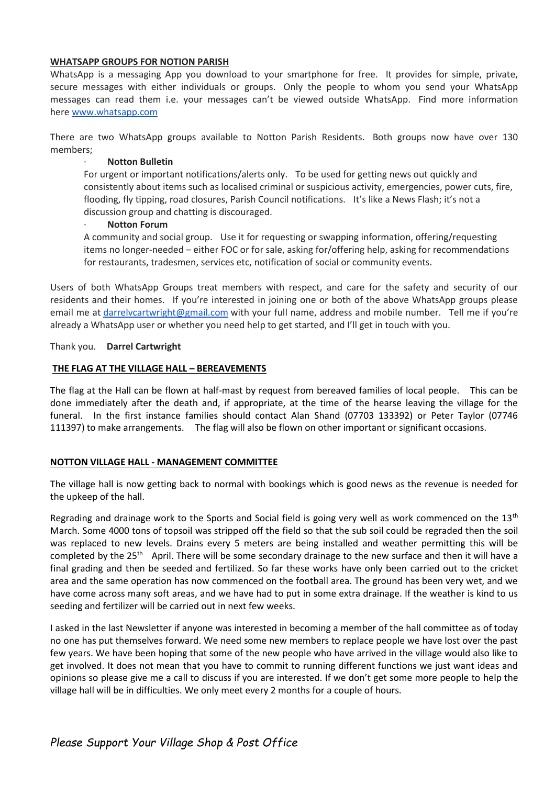#### **WHATSAPP GROUPS FOR NOTION PARISH**

WhatsApp is a messaging App you download to your smartphone for free. It provides for simple, private, secure messages with either individuals or groups. Only the people to whom you send your WhatsApp messages can read them i.e. your messages can't be viewed outside WhatsApp. Find more information here [www.whatsapp.com](http://www.whatsapp.com/)

There are two WhatsApp groups available to Notton Parish Residents. Both groups now have over 130 members;

#### · **Notton Bulletin**

For urgent or important notifications/alerts only. To be used for getting news out quickly and consistently about items such as localised criminal or suspicious activity, emergencies, power cuts, fire, flooding, fly tipping, road closures, Parish Council notifications. It's like a News Flash; it's not a discussion group and chatting is discouraged.

#### · **Notton Forum**

A community and social group. Use it for requesting or swapping information, offering/requesting items no longer-needed – either FOC or for sale, asking for/offering help, asking for recommendations for restaurants, tradesmen, services etc, notification of social or community events.

Users of both WhatsApp Groups treat members with respect, and care for the safety and security of our residents and their homes. If you're interested in joining one or both of the above WhatsApp groups please email me at [darrelvcartwright@gmail.com](mailto:darrelvcartwright@gmail.com) with your full name, address and mobile number. Tell me if you're already a WhatsApp user or whether you need help to get started, and I'll get in touch with you.

Thank you. **Darrel Cartwright**

#### **THE FLAG AT THE VILLAGE HALL – BEREAVEMENTS**

The flag at the Hall can be flown at half-mast by request from bereaved families of local people. This can be done immediately after the death and, if appropriate, at the time of the hearse leaving the village for the funeral. In the first instance families should contact Alan Shand (07703 133392) or Peter Taylor (07746 111397) to make arrangements. The flag will also be flown on other important or significant occasions.

#### **NOTTON VILLAGE HALL - MANAGEMENT COMMITTEE**

The village hall is now getting back to normal with bookings which is good news as the revenue is needed for the upkeep of the hall.

Regrading and drainage work to the Sports and Social field is going very well as work commenced on the 13<sup>th</sup> March. Some 4000 tons of topsoil was stripped off the field so that the sub soil could be regraded then the soil was replaced to new levels. Drains every 5 meters are being installed and weather permitting this will be completed by the 25<sup>th</sup> April. There will be some secondary drainage to the new surface and then it will have a final grading and then be seeded and fertilized. So far these works have only been carried out to the cricket area and the same operation has now commenced on the football area. The ground has been very wet, and we have come across many soft areas, and we have had to put in some extra drainage. If the weather is kind to us seeding and fertilizer will be carried out in next few weeks.

I asked in the last Newsletter if anyone was interested in becoming a member of the hall committee as of today no one has put themselves forward. We need some new members to replace people we have lost over the past few years. We have been hoping that some of the new people who have arrived in the village would also like to get involved. It does not mean that you have to commit to running different functions we just want ideas and opinions so please give me a call to discuss if you are interested. If we don't get some more people to help the village hall will be in difficulties. We only meet every 2 months for a couple of hours.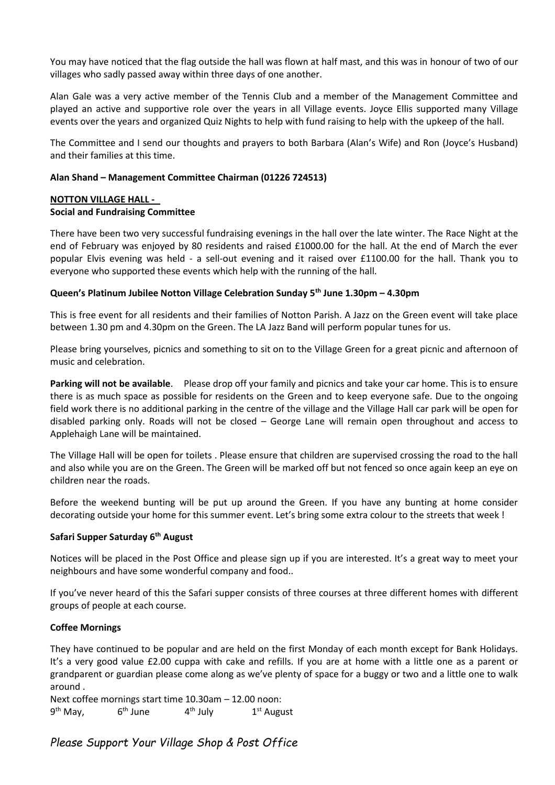You may have noticed that the flag outside the hall was flown at half mast, and this was in honour of two of our villages who sadly passed away within three days of one another.

Alan Gale was a very active member of the Tennis Club and a member of the Management Committee and played an active and supportive role over the years in all Village events. Joyce Ellis supported many Village events over the years and organized Quiz Nights to help with fund raising to help with the upkeep of the hall.

The Committee and I send our thoughts and prayers to both Barbara (Alan's Wife) and Ron (Joyce's Husband) and their families at this time.

#### **Alan Shand – Management Committee Chairman (01226 724513)**

#### **NOTTON VILLAGE HALL - Social and Fundraising Committee**

There have been two very successful fundraising evenings in the hall over the late winter. The Race Night at the end of February was enjoyed by 80 residents and raised £1000.00 for the hall. At the end of March the ever popular Elvis evening was held - a sell-out evening and it raised over £1100.00 for the hall. Thank you to everyone who supported these events which help with the running of the hall.

#### **Queen's Platinum Jubilee Notton Village Celebration Sunday 5th June 1.30pm – 4.30pm**

This is free event for all residents and their families of Notton Parish. A Jazz on the Green event will take place between 1.30 pm and 4.30pm on the Green. The LA Jazz Band will perform popular tunes for us.

Please bring yourselves, picnics and something to sit on to the Village Green for a great picnic and afternoon of music and celebration.

**Parking will not be available**. Please drop off your family and picnics and take your car home. This is to ensure there is as much space as possible for residents on the Green and to keep everyone safe. Due to the ongoing field work there is no additional parking in the centre of the village and the Village Hall car park will be open for disabled parking only. Roads will not be closed – George Lane will remain open throughout and access to Applehaigh Lane will be maintained.

The Village Hall will be open for toilets . Please ensure that children are supervised crossing the road to the hall and also while you are on the Green. The Green will be marked off but not fenced so once again keep an eye on children near the roads.

Before the weekend bunting will be put up around the Green. If you have any bunting at home consider decorating outside your home for this summer event. Let's bring some extra colour to the streets that week !

#### **Safari Supper Saturday 6th August**

Notices will be placed in the Post Office and please sign up if you are interested. It's a great way to meet your neighbours and have some wonderful company and food..

If you've never heard of this the Safari supper consists of three courses at three different homes with different groups of people at each course.

#### **Coffee Mornings**

They have continued to be popular and are held on the first Monday of each month except for Bank Holidays. It's a very good value £2.00 cuppa with cake and refills. If you are at home with a little one as a parent or grandparent or guardian please come along as we've plenty of space for a buggy or two and a little one to walk around .

Next coffee mornings start time 10.30am – 12.00 noon: 9<sup>th</sup> May, 6 6<sup>th</sup> June  $4<sup>th</sup>$  July  $1<sup>st</sup>$  August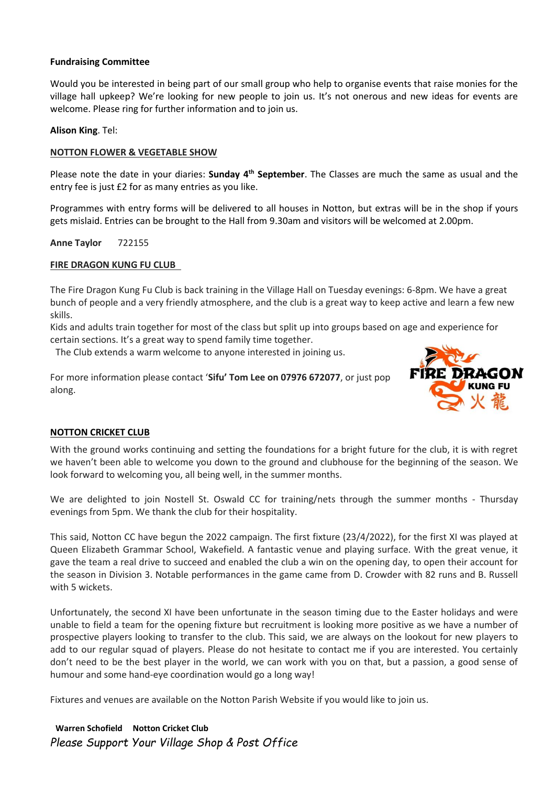#### **Fundraising Committee**

Would you be interested in being part of our small group who help to organise events that raise monies for the village hall upkeep? We're looking for new people to join us. It's not onerous and new ideas for events are welcome. Please ring for further information and to join us.

#### **Alison King**. Tel:

#### **NOTTON FLOWER & VEGETABLE SHOW**

Please note the date in your diaries: **Sunday 4th September**. The Classes are much the same as usual and the entry fee is just £2 for as many entries as you like.

Programmes with entry forms will be delivered to all houses in Notton, but extras will be in the shop if yours gets mislaid. Entries can be brought to the Hall from 9.30am and visitors will be welcomed at 2.00pm.

**Anne Taylor** 722155

#### **FIRE DRAGON KUNG FU CLUB**

The Fire Dragon Kung Fu Club is back training in the Village Hall on Tuesday evenings: 6-8pm. We have a great bunch of people and a very friendly atmosphere, and the club is a great way to keep active and learn a few new skills.

Kids and adults train together for most of the class but split up into groups based on age and experience for certain sections. It's a great way to spend family time together.

The Club extends a warm welcome to anyone interested in joining us.

For more information please contact '**Sifu' Tom Lee on 07976 672077**, or just pop along.



#### **NOTTON CRICKET CLUB**

With the ground works continuing and setting the foundations for a bright future for the club, it is with regret we haven't been able to welcome you down to the ground and clubhouse for the beginning of the season. We look forward to welcoming you, all being well, in the summer months.

We are delighted to join Nostell St. Oswald CC for training/nets through the summer months - Thursday evenings from 5pm. We thank the club for their hospitality.

This said, Notton CC have begun the 2022 campaign. The first fixture (23/4/2022), for the first XI was played at Queen Elizabeth Grammar School, Wakefield. A fantastic venue and playing surface. With the great venue, it gave the team a real drive to succeed and enabled the club a win on the opening day, to open their account for the season in Division 3. Notable performances in the game came from D. Crowder with 82 runs and B. Russell with 5 wickets.

Unfortunately, the second XI have been unfortunate in the season timing due to the Easter holidays and were unable to field a team for the opening fixture but recruitment is looking more positive as we have a number of prospective players looking to transfer to the club. This said, we are always on the lookout for new players to add to our regular squad of players. Please do not hesitate to contact me if you are interested. You certainly don't need to be the best player in the world, we can work with you on that, but a passion, a good sense of humour and some hand-eye coordination would go a long way!

Fixtures and venues are available on the Notton Parish Website if you would like to join us.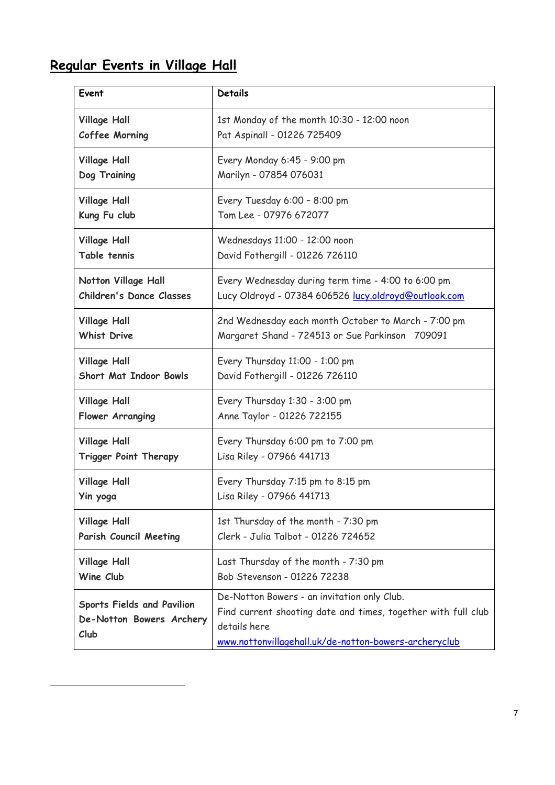# **Regular Events in Village Hall**

| Event                                                                 | <b>Details</b>                                                                                                                                                                        |
|-----------------------------------------------------------------------|---------------------------------------------------------------------------------------------------------------------------------------------------------------------------------------|
| <b>Village Hall</b>                                                   | 1st Monday of the month 10:30 - 12:00 noon                                                                                                                                            |
| Coffee Morning                                                        | Pat Aspinall - 01226 725409                                                                                                                                                           |
| <b>Village Hall</b>                                                   | Every Monday 6:45 - 9:00 pm                                                                                                                                                           |
| Dog Training                                                          | Marilyn - 07854 076031                                                                                                                                                                |
| <b>Village Hall</b>                                                   | Every Tuesday 6:00 - 8:00 pm                                                                                                                                                          |
| Kung Fu club                                                          | Tom Lee - 07976 672077                                                                                                                                                                |
| <b>Village Hall</b>                                                   | Wednesdays 11:00 - 12:00 noon                                                                                                                                                         |
| Table tennis                                                          | David Fothergill - 01226 726110                                                                                                                                                       |
| Notton Village Hall                                                   | Every Wednesday during term time - 4:00 to 6:00 pm                                                                                                                                    |
| <b>Children's Dance Classes</b>                                       | Lucy Oldroyd - 07384 606526 lucy.oldroyd@outlook.com                                                                                                                                  |
| <b>Village Hall</b>                                                   | 2nd Wednesday each month October to March - 7:00 pm                                                                                                                                   |
| <b>Whist Drive</b>                                                    | Margaret Shand - 724513 or Sue Parkinson 709091                                                                                                                                       |
| <b>Village Hall</b>                                                   | Every Thursday 11:00 - 1:00 pm                                                                                                                                                        |
| <b>Short Mat Indoor Bowls</b>                                         | David Fothergill - 01226 726110                                                                                                                                                       |
| <b>Village Hall</b>                                                   | Every Thursday 1:30 - 3:00 pm                                                                                                                                                         |
| Flower Arranging                                                      | Anne Taylor - 01226 722155                                                                                                                                                            |
| <b>Village Hall</b>                                                   | Every Thursday 6:00 pm to 7:00 pm                                                                                                                                                     |
| <b>Trigger Point Therapy</b>                                          | Lisa Riley - 07966 441713                                                                                                                                                             |
| <b>Village Hall</b>                                                   | Every Thursday 7:15 pm to 8:15 pm                                                                                                                                                     |
| Yin yoga                                                              | Lisa Riley - 07966 441713                                                                                                                                                             |
| <b>Village Hall</b>                                                   | 1st Thursday of the month - 7:30 pm                                                                                                                                                   |
| <b>Parish Council Meeting</b>                                         | Clerk - Julia Talbot - 01226 724652                                                                                                                                                   |
| <b>Village Hall</b>                                                   | Last Thursday of the month - 7:30 pm                                                                                                                                                  |
| Wine Club                                                             | Bob Stevenson - 01226 72238                                                                                                                                                           |
| <b>Sports Fields and Pavilion</b><br>De-Notton Bowers Archery<br>Club | De-Notton Bowers - an invitation only Club.<br>Find current shooting date and times, together with full club<br>details here<br>www.nottonvillagehall.uk/de-notton-bowers-archeryclub |